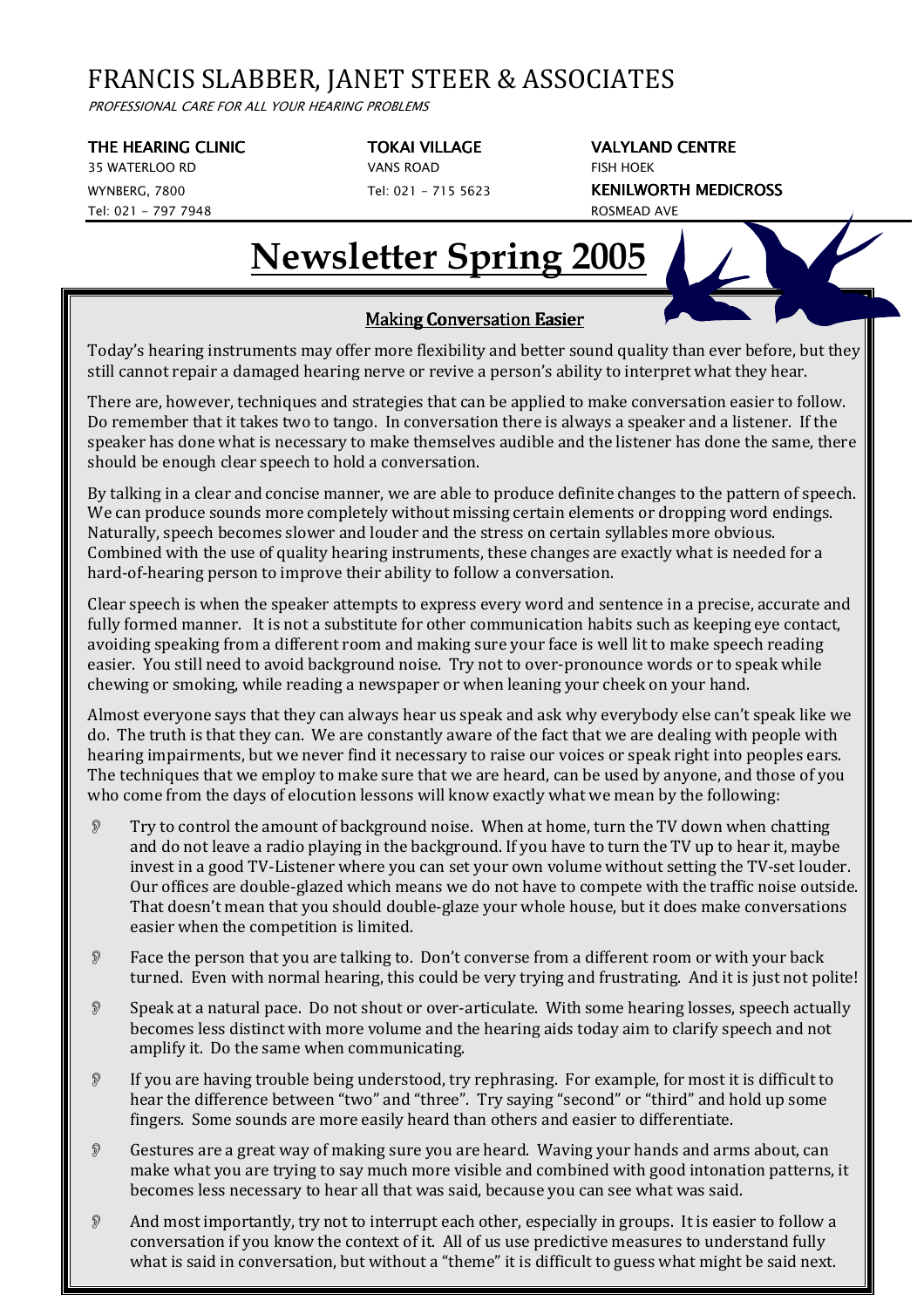## FRANCIS SLABBER, JANET STEER & ASSOCIATES

PROFESSIONAL CARE FOR ALL YOUR HEARING PROBLEMS

### THE HEARING CLINIC TOKAI VILLAGE **TOKAI VILLAGE** VALYLAND CENTRE

35 WATERLOO RD VANS ROAD FISH HOEK Tel: 021 - 797 7948 ROSMEAD AVE

WYNBERG, 7800 Tel: 021 - 715 5623 KENILWORTH MEDICROSS

# **Newsletter Spring 2005**

## Making Conversation Easier

Today's hearing instruments may offer more flexibility and better sound quality than ever before, but they still cannot repair a damaged hearing nerve or revive a person's ability to interpret what they hear.

There are, however, techniques and strategies that can be applied to make conversation easier to follow. Do remember that it takes two to tango. In conversation there is always a speaker and a listener. If the speaker has done what is necessary to make themselves audible and the listener has done the same, there should be enough clear speech to hold a conversation.

By talking in a clear and concise manner, we are able to produce definite changes to the pattern of speech. We can produce sounds more completely without missing certain elements or dropping word endings. Naturally, speech becomes slower and louder and the stress on certain syllables more obvious. Combined with the use of quality hearing instruments, these changes are exactly what is needed for a hard-of-hearing person to improve their ability to follow a conversation.

Clear speech is when the speaker attempts to express every word and sentence in a precise, accurate and fully formed manner. It is not a substitute for other communication habits such as keeping eye contact, avoiding speaking from a different room and making sure your face is well lit to make speech reading easier. You still need to avoid background noise. Try not to over-pronounce words or to speak while chewing or smoking, while reading a newspaper or when leaning your cheek on your hand.

Almost everyone says that they can always hear us speak and ask why everybody else can't speak like we do. The truth is that they can. We are constantly aware of the fact that we are dealing with people with hearing impairments, but we never find it necessary to raise our voices or speak right into peoples ears. The techniques that we employ to make sure that we are heard, can be used by anyone, and those of you who come from the days of elocution lessons will know exactly what we mean by the following:

- $\mathcal{P}$  Try to control the amount of background noise. When at home, turn the TV down when chatting and do not leave a radio playing in the background. If you have to turn the TV up to hear it, maybe invest in a good TV-Listener where you can set your own volume without setting the TV-set louder. Our offices are double-glazed which means we do not have to compete with the traffic noise outside. That doesn't mean that you should double-glaze your whole house, but it does make conversations easier when the competition is limited.
- Face the person that you are talking to. Don't converse from a different room or with your back turned. Even with normal hearing, this could be very trying and frustrating. And it is just not polite!
- Speak at a natural pace. Do not shout or over-articulate. With some hearing losses, speech actually becomes less distinct with more volume and the hearing aids today aim to clarify speech and not amplify it. Do the same when communicating.
- If you are having trouble being understood, try rephrasing. For example, for most it is difficult to hear the difference between "two" and "three". Try saying "second" or "third" and hold up some fingers. Some sounds are more easily heard than others and easier to differentiate.
- Gestures are a great way of making sure you are heard. Waving your hands and arms about, can make what you are trying to say much more visible and combined with good intonation patterns, it becomes less necessary to hear all that was said, because you can see what was said.
- And most importantly, try not to interrupt each other, especially in groups. It is easier to follow a conversation if you know the context of it. All of us use predictive measures to understand fully what is said in conversation, but without a "theme" it is difficult to guess what might be said next.